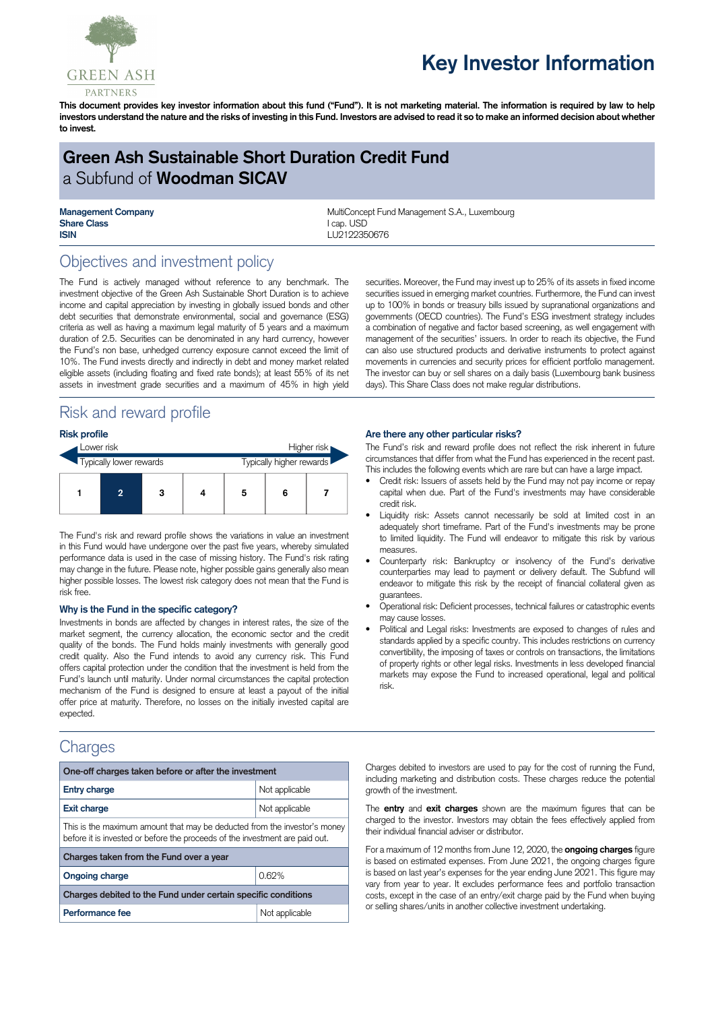

# **Key Investor Information**

This document provides key investor information about this fund ("Fund"). It is not marketing material. The information is required by law to help investors understand the nature and the risks of investing in this Fund. Investors are advised to read it so to make an informed decision about whether **to invest.**

# **Green Ash Sustainable Short Duration Credit Fund** a Subfund of **Woodman SICAV**

**Share Class** I cap. USD **ISIN** LU2122350676

**Management Company MultiConcept Fund Management S.A., Luxembourg MultiConcept Fund Management S.A., Luxembourg** 

## Objectives and investment policy

The Fund is actively managed without reference to any benchmark. The investment objective of the Green Ash Sustainable Short Duration is to achieve income and capital appreciation by investing in globally issued bonds and other debt securities that demonstrate environmental, social and governance (ESG) criteria as well as having a maximum legal maturity of 5 years and a maximum duration of 2.5. Securities can be denominated in any hard currency, however the Fund's non base, unhedged currency exposure cannot exceed the limit of 10%. The Fund invests directly and indirectly in debt and money market related eligible assets (including floating and fixed rate bonds); at least 55% of its net assets in investment grade securities and a maximum of 45% in high yield

# Risk and reward profile

| <b>Risk profile</b>     |                |   |  |                          |   |  |
|-------------------------|----------------|---|--|--------------------------|---|--|
| Lower risk              |                |   |  | Higher risk              |   |  |
| Typically lower rewards |                |   |  | Typically higher rewards |   |  |
|                         | $\overline{2}$ | 3 |  | 5                        | 6 |  |

The Fund's risk and reward profile shows the variations in value an investment in this Fund would have undergone over the past five years, whereby simulated performance data is used in the case of missing history. The Fund's risk rating may change in the future. Please note, higher possible gains generally also mean higher possible losses. The lowest risk category does not mean that the Fund is risk free.

#### **Why is the Fund in the specific category?**

Investments in bonds are affected by changes in interest rates, the size of the market segment, the currency allocation, the economic sector and the credit quality of the bonds. The Fund holds mainly investments with generally good credit quality. Also the Fund intends to avoid any currency risk. This Fund offers capital protection under the condition that the investment is held from the Fund's launch until maturity. Under normal circumstances the capital protection mechanism of the Fund is designed to ensure at least a payout of the initial offer price at maturity. Therefore, no losses on the initially invested capital are expected.

### **Charges**

| One-off charges taken before or after the investment                                                                                                      |                |  |  |  |  |
|-----------------------------------------------------------------------------------------------------------------------------------------------------------|----------------|--|--|--|--|
| <b>Entry charge</b>                                                                                                                                       | Not applicable |  |  |  |  |
| <b>Exit charge</b>                                                                                                                                        | Not applicable |  |  |  |  |
| This is the maximum amount that may be deducted from the investor's money<br>before it is invested or before the proceeds of the investment are paid out. |                |  |  |  |  |
| Charges taken from the Fund over a year                                                                                                                   |                |  |  |  |  |
| <b>Ongoing charge</b>                                                                                                                                     | 0.62%          |  |  |  |  |
| Charges debited to the Fund under certain specific conditions                                                                                             |                |  |  |  |  |
| Performance fee                                                                                                                                           | Not applicable |  |  |  |  |

securities. Moreover, the Fund may invest up to 25% of its assets in fixed income securities issued in emerging market countries. Furthermore, the Fund can invest up to 100% in bonds or treasury bills issued by supranational organizations and governments (OECD countries). The Fund's ESG investment strategy includes a combination of negative and factor based screening, as well engagement with management of the securities' issuers. In order to reach its objective, the Fund can also use structured products and derivative instruments to protect against movements in currencies and security prices for efficient portfolio management. The investor can buy or sell shares on a daily basis (Luxembourg bank business days). This Share Class does not make regular distributions.

#### **Are there any other particular risks?**

The Fund's risk and reward profile does not reflect the risk inherent in future circumstances that differ from what the Fund has experienced in the recent past. This includes the following events which are rare but can have a large impact.

- Credit risk: Issuers of assets held by the Fund may not pay income or repay capital when due. Part of the Fund's investments may have considerable credit risk.
- Liquidity risk: Assets cannot necessarily be sold at limited cost in an adequately short timeframe. Part of the Fund's investments may be prone to limited liquidity. The Fund will endeavor to mitigate this risk by various measures.
- Counterparty risk: Bankruptcy or insolvency of the Fund's derivative counterparties may lead to payment or delivery default. The Subfund will endeavor to mitigate this risk by the receipt of financial collateral given as guarantees.
- Operational risk: Deficient processes, technical failures or catastrophic events may cause losses.
- Political and Legal risks: Investments are exposed to changes of rules and standards applied by a specific country. This includes restrictions on currency convertibility, the imposing of taxes or controls on transactions, the limitations of property rights or other legal risks. Investments in less developed financial markets may expose the Fund to increased operational, legal and political risk.

Charges debited to investors are used to pay for the cost of running the Fund, including marketing and distribution costs. These charges reduce the potential growth of the investment.

The **entry** and **exit charges** shown are the maximum figures that can be charged to the investor. Investors may obtain the fees effectively applied from their individual financial adviser or distributor.

For a maximum of 12 months from June 12, 2020, the **ongoing charges** figure is based on estimated expenses. From June 2021, the ongoing charges figure is based on last year's expenses for the year ending June 2021. This figure may vary from year to year. It excludes performance fees and portfolio transaction costs, except in the case of an entry/exit charge paid by the Fund when buying or selling shares/units in another collective investment undertaking.